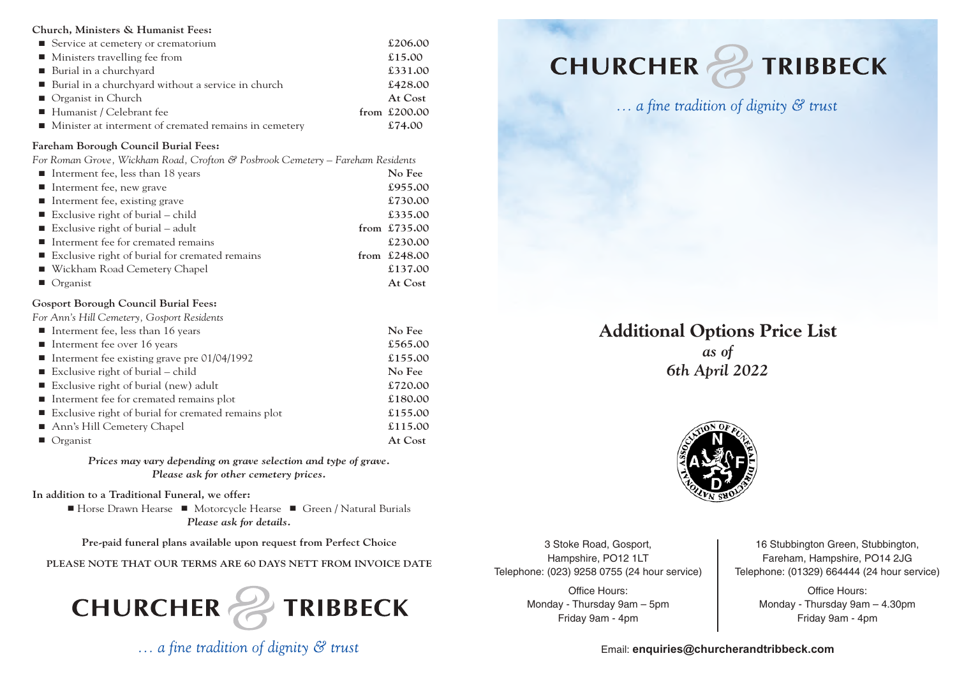#### **Church, Ministers & Humanist Fees:**

| ■ Service at cemetery or crematorium                                 | £206.00        |
|----------------------------------------------------------------------|----------------|
| • Ministers travelling fee from                                      | £15.00         |
| ■ Burial in a churchyard                                             | £331.00        |
| ■ Burial in a churchyard without a service in church                 | £428.00        |
| • Organist in Church                                                 | At Cost        |
| ■ Humanist / Celebrant fee                                           | from $£200.00$ |
| $\blacksquare$ Minister at interment of cremated remains in cemetery | £74.00         |

## **Fareham Borough Council Burial Fees:**

*For Roman Grove, Wickham Road, Crofton & Posbrook Cemetery – Fareham Residents*

| Interment fee, less than 18 years                | No Fee         |
|--------------------------------------------------|----------------|
| $\blacksquare$ Interment fee, new grave          | £955.00        |
| Interment fee, existing grave                    | £730.00        |
| Exclusive right of burial $-$ child              | £335.00        |
| Exclusive right of burial $-$ adult              | from £735.00   |
| Interment fee for cremated remains               | £230.00        |
| ■ Exclusive right of burial for cremated remains | from $£248.00$ |
| ■ Wickham Road Cemetery Chapel                   | £137.00        |
| $\blacksquare$ Organist                          | At Cost        |

## **Gosport Borough Council Burial Fees:**

*For Ann's Hill Cemetery, Gosport Residents*

| Interment fee, less than 16 years                     | No Fee  |
|-------------------------------------------------------|---------|
| Interment fee over 16 years                           | £565.00 |
| Interment fee existing grave pre $01/04/1992$         | £155.00 |
| Exclusive right of burial $-$ child                   | No Fee  |
| ■ Exclusive right of burial (new) adult               | £720.00 |
| Interment fee for cremated remains plot               | £180.00 |
| ■ Exclusive right of burial for cremated remains plot | £155.00 |
| Ann's Hill Cemetery Chapel                            | £115.00 |
| $\blacksquare$ Organist                               | At Cost |

*Prices may vary depending on grave selection and type of grave. Please ask for other cemetery prices.*

**In addition to a Traditional Funeral, we offer:**

**■** Horse Drawn Hearse **■** Motorcycle Hearse **■** Green / Natural Burials *Please ask for details.*

**Pre-paid funeral plans available upon request from Perfect Choice**

**PLEASE NOTE THAT OUR TERMS ARE 60 DAYS NETT FROM INVOICE DATE**



 $\ldots$  a fine tradition of dignity  $\mathcal{C}$  trust

# **CHURCHER & TRIBBECK**



... a fine tradition of dignity & trust

## **Additional Options Price List** *as of 6th April 2022*



3 Stoke Road, Gosport, Hampshire, PO12 1LT Telephone: (023) 9258 0755 (24 hour service)

> Office Hours: Monday - Thursday 9am – 5pm Friday 9am - 4pm

16 Stubbington Green, Stubbington, Fareham, Hampshire, PO14 2JG Telephone: (01329) 664444 (24 hour service)

> Office Hours: Monday - Thursday 9am – 4.30pm Friday 9am - 4pm

Email: **[enquiries@churcherandtribbeck.com](mailto:enquiries@churcherandtribbeck.com)**